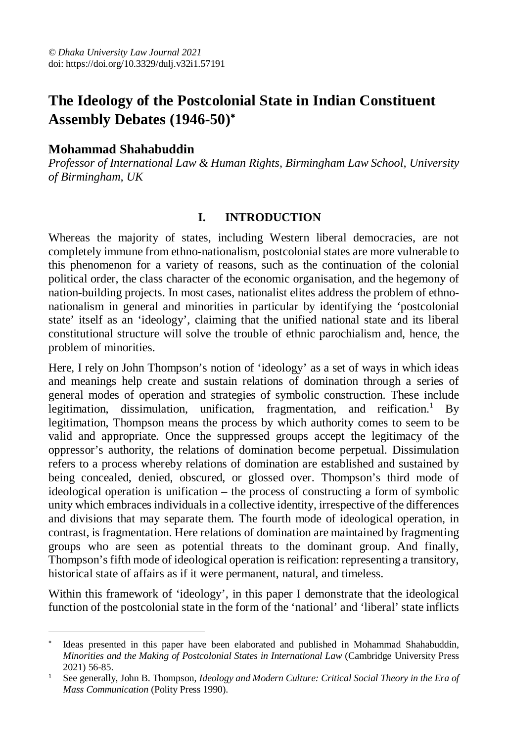# **The Ideology of the Postcolonial State in Indian Constituent Assembly Debates (1946-50)**

## **Mohammad Shahabuddin**

*Professor of International Law & Human Rights, Birmingham Law School, University of Birmingham, UK*

### **I. INTRODUCTION**

Whereas the majority of states, including Western liberal democracies, are not completely immune from ethno-nationalism, postcolonial states are more vulnerable to this phenomenon for a variety of reasons, such as the continuation of the colonial political order, the class character of the economic organisation, and the hegemony of nation-building projects. In most cases, nationalist elites address the problem of ethnonationalism in general and minorities in particular by identifying the 'postcolonial state' itself as an 'ideology', claiming that the unified national state and its liberal constitutional structure will solve the trouble of ethnic parochialism and, hence, the problem of minorities.

Here, I rely on John Thompson's notion of 'ideology' as a set of ways in which ideas and meanings help create and sustain relations of domination through a series of general modes of operation and strategies of symbolic construction. These include legitimation, dissimulation, unification, fragmentation, and reification.<sup>1</sup> By legitimation, Thompson means the process by which authority comes to seem to be valid and appropriate. Once the suppressed groups accept the legitimacy of the oppressor's authority, the relations of domination become perpetual. Dissimulation refers to a process whereby relations of domination are established and sustained by being concealed, denied, obscured, or glossed over. Thompson's third mode of ideological operation is unification – the process of constructing a form of symbolic unity which embraces individuals in a collective identity, irrespective of the differences and divisions that may separate them. The fourth mode of ideological operation, in contrast, is fragmentation. Here relations of domination are maintained by fragmenting groups who are seen as potential threats to the dominant group. And finally, Thompson's fifth mode of ideological operation is reification: representing a transitory, historical state of affairs as if it were permanent, natural, and timeless.

Within this framework of 'ideology', in this paper I demonstrate that the ideological function of the postcolonial state in the form of the 'national' and 'liberal' state inflicts

 $\overline{a}$  Ideas presented in this paper have been elaborated and published in Mohammad Shahabuddin, *Minorities and the Making of Postcolonial States in International Law* (Cambridge University Press 2021) 56-85.

<sup>&</sup>lt;sup>1</sup> See generally, John B. Thompson, *Ideology and Modern Culture: Critical Social Theory in the Era of Mass Communication* (Polity Press 1990).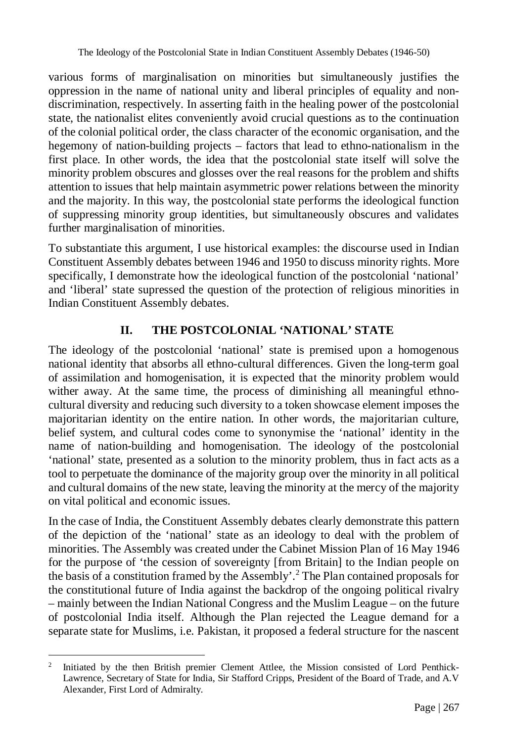various forms of marginalisation on minorities but simultaneously justifies the oppression in the name of national unity and liberal principles of equality and nondiscrimination, respectively. In asserting faith in the healing power of the postcolonial state, the nationalist elites conveniently avoid crucial questions as to the continuation of the colonial political order, the class character of the economic organisation, and the hegemony of nation-building projects – factors that lead to ethno-nationalism in the first place. In other words, the idea that the postcolonial state itself will solve the minority problem obscures and glosses over the real reasons for the problem and shifts attention to issues that help maintain asymmetric power relations between the minority and the majority. In this way, the postcolonial state performs the ideological function of suppressing minority group identities, but simultaneously obscures and validates further marginalisation of minorities.

To substantiate this argument, I use historical examples: the discourse used in Indian Constituent Assembly debates between 1946 and 1950 to discuss minority rights. More specifically, I demonstrate how the ideological function of the postcolonial 'national' and 'liberal' state supressed the question of the protection of religious minorities in Indian Constituent Assembly debates.

# **II. THE POSTCOLONIAL 'NATIONAL' STATE**

The ideology of the postcolonial 'national' state is premised upon a homogenous national identity that absorbs all ethno-cultural differences. Given the long-term goal of assimilation and homogenisation, it is expected that the minority problem would wither away. At the same time, the process of diminishing all meaningful ethnocultural diversity and reducing such diversity to a token showcase element imposes the majoritarian identity on the entire nation. In other words, the majoritarian culture, belief system, and cultural codes come to synonymise the 'national' identity in the name of nation-building and homogenisation. The ideology of the postcolonial 'national' state, presented as a solution to the minority problem, thus in fact acts as a tool to perpetuate the dominance of the majority group over the minority in all political and cultural domains of the new state, leaving the minority at the mercy of the majority on vital political and economic issues.

In the case of India, the Constituent Assembly debates clearly demonstrate this pattern of the depiction of the 'national' state as an ideology to deal with the problem of minorities. The Assembly was created under the Cabinet Mission Plan of 16 May 1946 for the purpose of 'the cession of sovereignty [from Britain] to the Indian people on the basis of a constitution framed by the Assembly'.<sup>2</sup> The Plan contained proposals for the constitutional future of India against the backdrop of the ongoing political rivalry – mainly between the Indian National Congress and the Muslim League – on the future of postcolonial India itself. Although the Plan rejected the League demand for a separate state for Muslims, i.e. Pakistan, it proposed a federal structure for the nascent

 $\overline{a}$ 2 Initiated by the then British premier Clement Attlee, the Mission consisted of Lord Penthick-Lawrence, Secretary of State for India, Sir Stafford Cripps, President of the Board of Trade, and A.V Alexander, First Lord of Admiralty.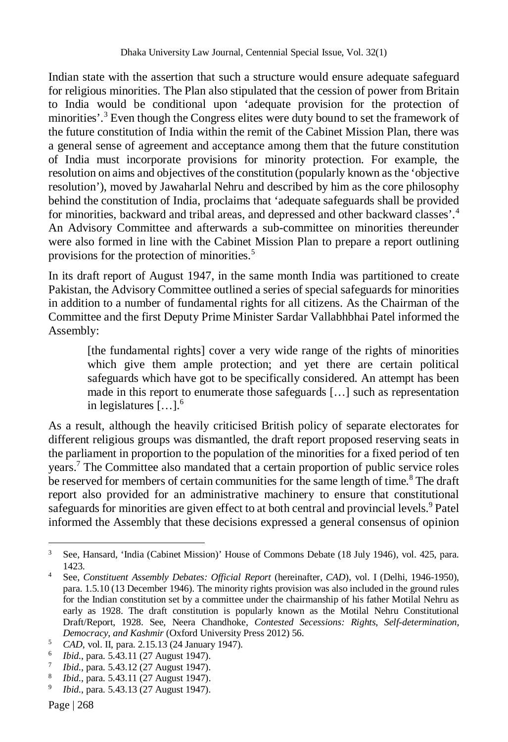Indian state with the assertion that such a structure would ensure adequate safeguard for religious minorities. The Plan also stipulated that the cession of power from Britain to India would be conditional upon 'adequate provision for the protection of minorities'.<sup>3</sup> Even though the Congress elites were duty bound to set the framework of the future constitution of India within the remit of the Cabinet Mission Plan, there was a general sense of agreement and acceptance among them that the future constitution of India must incorporate provisions for minority protection. For example, the resolution on aims and objectives of the constitution (popularly known as the 'objective resolution'), moved by Jawaharlal Nehru and described by him as the core philosophy behind the constitution of India, proclaims that 'adequate safeguards shall be provided for minorities, backward and tribal areas, and depressed and other backward classes'.<sup>4</sup> An Advisory Committee and afterwards a sub-committee on minorities thereunder were also formed in line with the Cabinet Mission Plan to prepare a report outlining provisions for the protection of minorities.<sup>5</sup>

In its draft report of August 1947, in the same month India was partitioned to create Pakistan, the Advisory Committee outlined a series of special safeguards for minorities in addition to a number of fundamental rights for all citizens. As the Chairman of the Committee and the first Deputy Prime Minister Sardar Vallabhbhai Patel informed the Assembly:

[the fundamental rights] cover a very wide range of the rights of minorities which give them ample protection; and yet there are certain political safeguards which have got to be specifically considered. An attempt has been made in this report to enumerate those safeguards […] such as representation in legislatures […].<sup>6</sup>

As a result, although the heavily criticised British policy of separate electorates for different religious groups was dismantled, the draft report proposed reserving seats in the parliament in proportion to the population of the minorities for a fixed period of ten years.<sup>7</sup> The Committee also mandated that a certain proportion of public service roles be reserved for members of certain communities for the same length of time.<sup>8</sup> The draft report also provided for an administrative machinery to ensure that constitutional safeguards for minorities are given effect to at both central and provincial levels.<sup>9</sup> Patel informed the Assembly that these decisions expressed a general consensus of opinion

<sup>3</sup> See, Hansard, 'India (Cabinet Mission)' House of Commons Debate (18 July 1946), vol. 425, para. 1423.

<sup>&</sup>lt;sup>4</sup> See, *Constituent Assembly Debates: Official Report* (hereinafter, *CAD*), vol. I (Delhi, 1946-1950), para. 1.5.10 (13 December 1946). The minority rights provision was also included in the ground rules for the Indian constitution set by a committee under the chairmanship of his father Motilal Nehru as early as 1928. The draft constitution is popularly known as the Motilal Nehru Constitutional Draft/Report, 1928. See, Neera Chandhoke, *Contested Secessions: Rights, Self-determination, Democracy, and Kashmir* (Oxford University Press 2012) 56.

<sup>5</sup> *CAD*, vol. II, para. 2.15.13 (24 January 1947).

<sup>6</sup> *Ibid.*, para. 5.43.11 (27 August 1947).

<sup>7</sup> *Ibid.*, para. 5.43.12 (27 August 1947).

<sup>8</sup> *Ibid.*, para. 5.43.11 (27 August 1947).

<sup>9</sup> *Ibid.*, para. 5.43.13 (27 August 1947).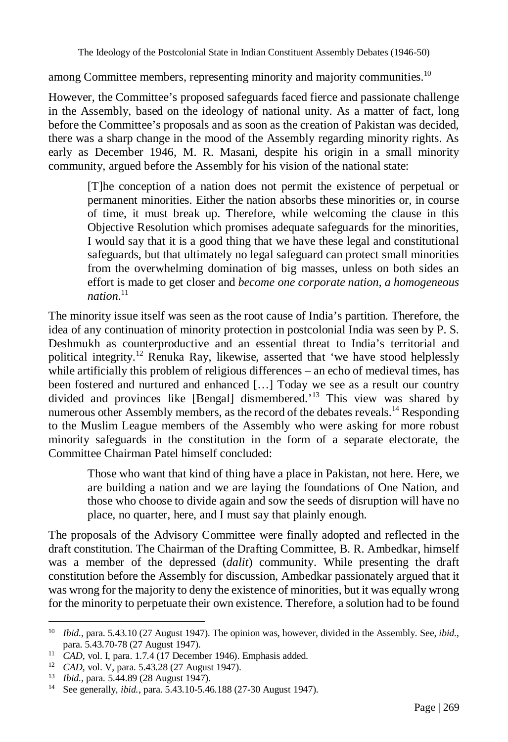among Committee members, representing minority and majority communities.<sup>10</sup>

However, the Committee's proposed safeguards faced fierce and passionate challenge in the Assembly, based on the ideology of national unity. As a matter of fact, long before the Committee's proposals and as soon as the creation of Pakistan was decided, there was a sharp change in the mood of the Assembly regarding minority rights. As early as December 1946, M. R. Masani, despite his origin in a small minority community, argued before the Assembly for his vision of the national state:

[T]he conception of a nation does not permit the existence of perpetual or permanent minorities. Either the nation absorbs these minorities or, in course of time, it must break up. Therefore, while welcoming the clause in this Objective Resolution which promises adequate safeguards for the minorities, I would say that it is a good thing that we have these legal and constitutional safeguards, but that ultimately no legal safeguard can protect small minorities from the overwhelming domination of big masses, unless on both sides an effort is made to get closer and *become one corporate nation, a homogeneous nation*. 11

The minority issue itself was seen as the root cause of India's partition. Therefore, the idea of any continuation of minority protection in postcolonial India was seen by P. S. Deshmukh as counterproductive and an essential threat to India's territorial and political integrity.<sup>12</sup> Renuka Ray, likewise, asserted that 'we have stood helplessly while artificially this problem of religious differences – an echo of medieval times, has been fostered and nurtured and enhanced […] Today we see as a result our country divided and provinces like [Bengal] dismembered.'<sup>13</sup> This view was shared by numerous other Assembly members, as the record of the debates reveals.<sup>14</sup> Responding to the Muslim League members of the Assembly who were asking for more robust minority safeguards in the constitution in the form of a separate electorate, the Committee Chairman Patel himself concluded:

Those who want that kind of thing have a place in Pakistan, not here. Here, we are building a nation and we are laying the foundations of One Nation, and those who choose to divide again and sow the seeds of disruption will have no place, no quarter, here, and I must say that plainly enough.

The proposals of the Advisory Committee were finally adopted and reflected in the draft constitution. The Chairman of the Drafting Committee, B. R. Ambedkar, himself was a member of the depressed (*dalit*) community. While presenting the draft constitution before the Assembly for discussion, Ambedkar passionately argued that it was wrong for the majority to deny the existence of minorities, but it was equally wrong for the minority to perpetuate their own existence. Therefore, a solution had to be found

 $\overline{a}$ <sup>10</sup> *Ibid.*, para. 5.43.10 (27 August 1947). The opinion was, however, divided in the Assembly. See, *ibid.*, para. 5.43.70-78 (27 August 1947).

<sup>&</sup>lt;sup>11</sup> *CAD*, vol. I, para. 1.7.4 (17 December 1946). Emphasis added.

<sup>12</sup> *CAD*, vol. V, para. 5.43.28 (27 August 1947).

<sup>13</sup> *Ibid.*, para. 5.44.89 (28 August 1947).

<sup>14</sup> See generally, *ibid.*, para. 5.43.10-5.46.188 (27-30 August 1947).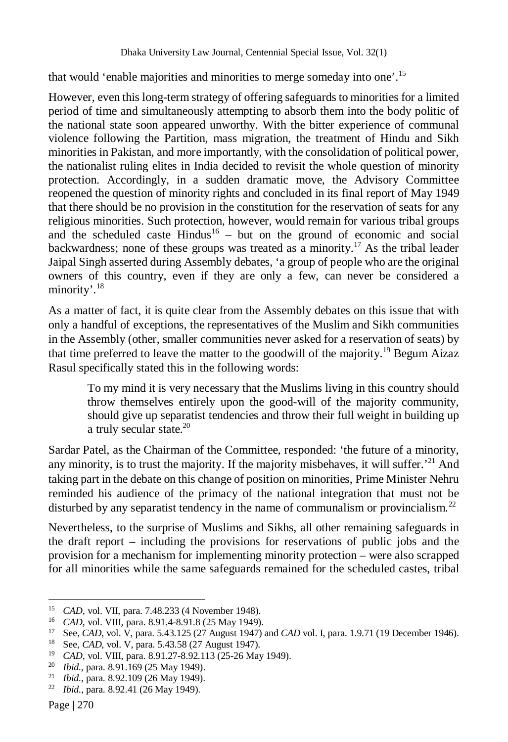that would 'enable majorities and minorities to merge someday into one'.<sup>15</sup>

However, even this long-term strategy of offering safeguards to minorities for a limited period of time and simultaneously attempting to absorb them into the body politic of the national state soon appeared unworthy. With the bitter experience of communal violence following the Partition, mass migration, the treatment of Hindu and Sikh minorities in Pakistan, and more importantly, with the consolidation of political power, the nationalist ruling elites in India decided to revisit the whole question of minority protection. Accordingly, in a sudden dramatic move, the Advisory Committee reopened the question of minority rights and concluded in its final report of May 1949 that there should be no provision in the constitution for the reservation of seats for any religious minorities. Such protection, however, would remain for various tribal groups and the scheduled caste  $\text{Hindus}^{16}$  – but on the ground of economic and social backwardness; none of these groups was treated as a minority.<sup>17</sup> As the tribal leader Jaipal Singh asserted during Assembly debates, 'a group of people who are the original owners of this country, even if they are only a few, can never be considered a minority'.<sup>18</sup>

As a matter of fact, it is quite clear from the Assembly debates on this issue that with only a handful of exceptions, the representatives of the Muslim and Sikh communities in the Assembly (other, smaller communities never asked for a reservation of seats) by that time preferred to leave the matter to the goodwill of the majority.<sup>19</sup> Begum Aizaz Rasul specifically stated this in the following words:

To my mind it is very necessary that the Muslims living in this country should throw themselves entirely upon the good-will of the majority community, should give up separatist tendencies and throw their full weight in building up a truly secular state.<sup>20</sup>

Sardar Patel, as the Chairman of the Committee, responded: 'the future of a minority, any minority, is to trust the majority. If the majority misbehaves, it will suffer.<sup> $21$ </sup> And taking part in the debate on this change of position on minorities, Prime Minister Nehru reminded his audience of the primacy of the national integration that must not be disturbed by any separatist tendency in the name of communalism or provincialism.<sup>22</sup>

Nevertheless, to the surprise of Muslims and Sikhs, all other remaining safeguards in the draft report – including the provisions for reservations of public jobs and the provision for a mechanism for implementing minority protection – were also scrapped for all minorities while the same safeguards remained for the scheduled castes, tribal

 $\overline{a}$ <sup>15</sup> *CAD*, vol. VII, para. 7.48.233 (4 November 1948).

<sup>&</sup>lt;sup>16</sup> *CAD*, vol. VIII, para. 8.91.4-8.91.8 (25 May 1949).<br><sup>17</sup> See *CAD*, vol. V para. 5.43.125 (27 August 1947).

See, *CAD*, vol. V, para. 5.43.125 (27 August 1947) and *CAD* vol. I, para. 1.9.71 (19 December 1946).

<sup>18</sup> See, *CAD*, vol. V, para. 5.43.58 (27 August 1947).

<sup>19</sup> *CAD*, vol. VIII, para. 8.91.27-8.92.113 (25-26 May 1949).

<sup>20</sup> *Ibid.*, para. 8.91.169 (25 May 1949).

<sup>21</sup> *Ibid.*, para. 8.92.109 (26 May 1949).

<sup>22</sup> *Ibid.*, para. 8.92.41 (26 May 1949).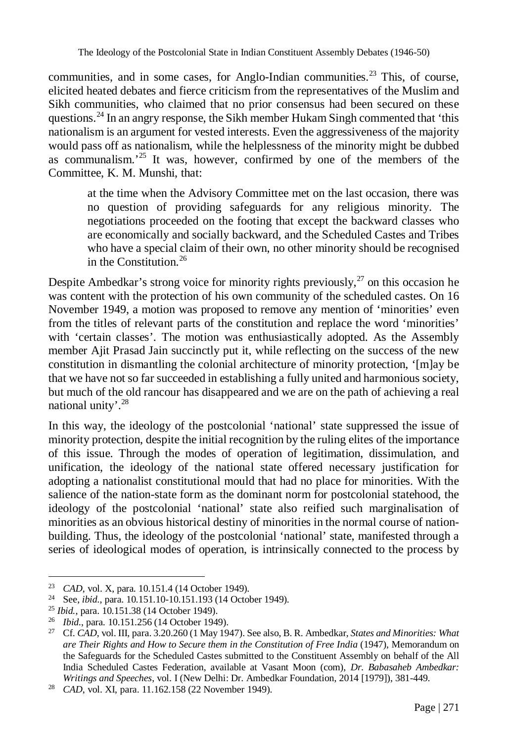communities, and in some cases, for Anglo-Indian communities.<sup>23</sup> This, of course, elicited heated debates and fierce criticism from the representatives of the Muslim and Sikh communities, who claimed that no prior consensus had been secured on these questions.<sup>24</sup> In an angry response, the Sikh member Hukam Singh commented that 'this nationalism is an argument for vested interests. Even the aggressiveness of the majority would pass off as nationalism, while the helplessness of the minority might be dubbed as communalism.' <sup>25</sup> It was, however, confirmed by one of the members of the Committee, K. M. Munshi, that:

at the time when the Advisory Committee met on the last occasion, there was no question of providing safeguards for any religious minority. The negotiations proceeded on the footing that except the backward classes who are economically and socially backward, and the Scheduled Castes and Tribes who have a special claim of their own, no other minority should be recognised in the Constitution. $^{26}$ 

Despite Ambedkar's strong voice for minority rights previously,  $27$  on this occasion he was content with the protection of his own community of the scheduled castes. On 16 November 1949, a motion was proposed to remove any mention of 'minorities' even from the titles of relevant parts of the constitution and replace the word 'minorities' with 'certain classes'. The motion was enthusiastically adopted. As the Assembly member Ajit Prasad Jain succinctly put it, while reflecting on the success of the new constitution in dismantling the colonial architecture of minority protection, '[m]ay be that we have not so far succeeded in establishing a fully united and harmonious society, but much of the old rancour has disappeared and we are on the path of achieving a real national unity'.<sup>28</sup>

In this way, the ideology of the postcolonial 'national' state suppressed the issue of minority protection, despite the initial recognition by the ruling elites of the importance of this issue. Through the modes of operation of legitimation, dissimulation, and unification, the ideology of the national state offered necessary justification for adopting a nationalist constitutional mould that had no place for minorities. With the salience of the nation-state form as the dominant norm for postcolonial statehood, the ideology of the postcolonial 'national' state also reified such marginalisation of minorities as an obvious historical destiny of minorities in the normal course of nationbuilding. Thus, the ideology of the postcolonial 'national' state, manifested through a series of ideological modes of operation, is intrinsically connected to the process by

<sup>23</sup> *CAD*, vol. X, para. 10.151.4 (14 October 1949).

<sup>24</sup> See, *ibid.*, para. 10.151.10-10.151.193 (14 October 1949).

<sup>25</sup> *Ibid.*, para. 10.151.38 (14 October 1949).

<sup>26</sup> *Ibid.*, para. 10.151.256 (14 October 1949).

<sup>27</sup> Cf. *CAD*, vol. III, para. 3.20.260 (1 May 1947). See also, B. R. Ambedkar, *States and Minorities: What are Their Rights and How to Secure them in the Constitution of Free India* (1947), Memorandum on the Safeguards for the Scheduled Castes submitted to the Constituent Assembly on behalf of the All India Scheduled Castes Federation, available at Vasant Moon (com), *Dr. Babasaheb Ambedkar: Writings and Speeches*, vol. I (New Delhi: Dr. Ambedkar Foundation, 2014 [1979]), 381-449.

<sup>28</sup> *CAD*, vol. XI, para. 11.162.158 (22 November 1949).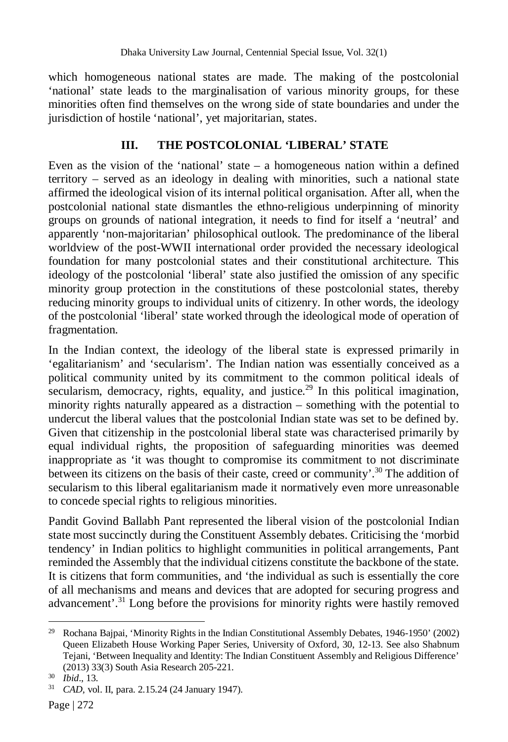which homogeneous national states are made. The making of the postcolonial 'national' state leads to the marginalisation of various minority groups, for these minorities often find themselves on the wrong side of state boundaries and under the jurisdiction of hostile 'national', yet majoritarian, states.

## **III. THE POSTCOLONIAL 'LIBERAL' STATE**

Even as the vision of the 'national' state – a homogeneous nation within a defined territory – served as an ideology in dealing with minorities, such a national state affirmed the ideological vision of its internal political organisation. After all, when the postcolonial national state dismantles the ethno-religious underpinning of minority groups on grounds of national integration, it needs to find for itself a 'neutral' and apparently 'non-majoritarian' philosophical outlook. The predominance of the liberal worldview of the post-WWII international order provided the necessary ideological foundation for many postcolonial states and their constitutional architecture. This ideology of the postcolonial 'liberal' state also justified the omission of any specific minority group protection in the constitutions of these postcolonial states, thereby reducing minority groups to individual units of citizenry. In other words, the ideology of the postcolonial 'liberal' state worked through the ideological mode of operation of fragmentation.

In the Indian context, the ideology of the liberal state is expressed primarily in 'egalitarianism' and 'secularism'. The Indian nation was essentially conceived as a political community united by its commitment to the common political ideals of secularism, democracy, rights, equality, and justice.<sup>29</sup> In this political imagination, minority rights naturally appeared as a distraction – something with the potential to undercut the liberal values that the postcolonial Indian state was set to be defined by. Given that citizenship in the postcolonial liberal state was characterised primarily by equal individual rights, the proposition of safeguarding minorities was deemed inappropriate as 'it was thought to compromise its commitment to not discriminate between its citizens on the basis of their caste, creed or community'.<sup>30</sup> The addition of secularism to this liberal egalitarianism made it normatively even more unreasonable to concede special rights to religious minorities.

Pandit Govind Ballabh Pant represented the liberal vision of the postcolonial Indian state most succinctly during the Constituent Assembly debates. Criticising the 'morbid tendency' in Indian politics to highlight communities in political arrangements, Pant reminded the Assembly that the individual citizens constitute the backbone of the state. It is citizens that form communities, and 'the individual as such is essentially the core of all mechanisms and means and devices that are adopted for securing progress and advancement'.<sup>31</sup> Long before the provisions for minority rights were hastily removed

 $\overline{a}$ <sup>29</sup> Rochana Bajpai, 'Minority Rights in the Indian Constitutional Assembly Debates, 1946-1950' (2002) Queen Elizabeth House Working Paper Series, University of Oxford, 30, 12-13. See also Shabnum Tejani, 'Between Inequality and Identity: The Indian Constituent Assembly and Religious Difference' (2013) 33(3) South Asia Research 205-221.

<sup>30</sup> *Ibid*., 13.

<sup>31</sup> *CAD,* vol. II, para. 2.15.24 (24 January 1947).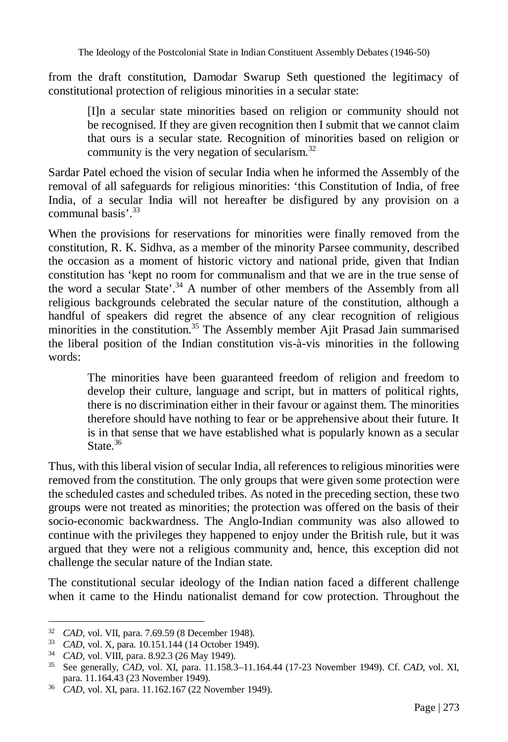The Ideology of the Postcolonial State in Indian Constituent Assembly Debates (1946-50)

from the draft constitution, Damodar Swarup Seth questioned the legitimacy of constitutional protection of religious minorities in a secular state:

[I]n a secular state minorities based on religion or community should not be recognised. If they are given recognition then I submit that we cannot claim that ours is a secular state. Recognition of minorities based on religion or community is the very negation of secularism.<sup>32</sup>

Sardar Patel echoed the vision of secular India when he informed the Assembly of the removal of all safeguards for religious minorities: 'this Constitution of India, of free India, of a secular India will not hereafter be disfigured by any provision on a communal basis' 33

When the provisions for reservations for minorities were finally removed from the constitution, R. K. Sidhva, as a member of the minority Parsee community, described the occasion as a moment of historic victory and national pride, given that Indian constitution has 'kept no room for communalism and that we are in the true sense of the word a secular State'.<sup>34</sup> A number of other members of the Assembly from all religious backgrounds celebrated the secular nature of the constitution, although a handful of speakers did regret the absence of any clear recognition of religious minorities in the constitution.<sup>35</sup> The Assembly member Ajit Prasad Jain summarised the liberal position of the Indian constitution vis-à-vis minorities in the following words:

The minorities have been guaranteed freedom of religion and freedom to develop their culture, language and script, but in matters of political rights, there is no discrimination either in their favour or against them. The minorities therefore should have nothing to fear or be apprehensive about their future. It is in that sense that we have established what is popularly known as a secular State  $36$ 

Thus, with this liberal vision of secular India, all references to religious minorities were removed from the constitution. The only groups that were given some protection were the scheduled castes and scheduled tribes. As noted in the preceding section, these two groups were not treated as minorities; the protection was offered on the basis of their socio-economic backwardness. The Anglo-Indian community was also allowed to continue with the privileges they happened to enjoy under the British rule, but it was argued that they were not a religious community and, hence, this exception did not challenge the secular nature of the Indian state.

The constitutional secular ideology of the Indian nation faced a different challenge when it came to the Hindu nationalist demand for cow protection. Throughout the

<sup>32</sup> *CAD*, vol. VII, para. 7.69.59 (8 December 1948).

<sup>33</sup> *CAD*, vol. X, para. 10.151.144 (14 October 1949).

<sup>34</sup> *CAD*, vol. VIII, para. 8.92.3 (26 May 1949).

<sup>35</sup> See generally, *CAD*, vol. XI, para. 11.158.3–11.164.44 (17-23 November 1949). Cf. *CAD*, vol. XI, para. 11.164.43 (23 November 1949).

para. 11.104.45 (23 Processos 2011)<br>
36 *CAD*, vol. XI, para. 11.162.167 (22 November 1949).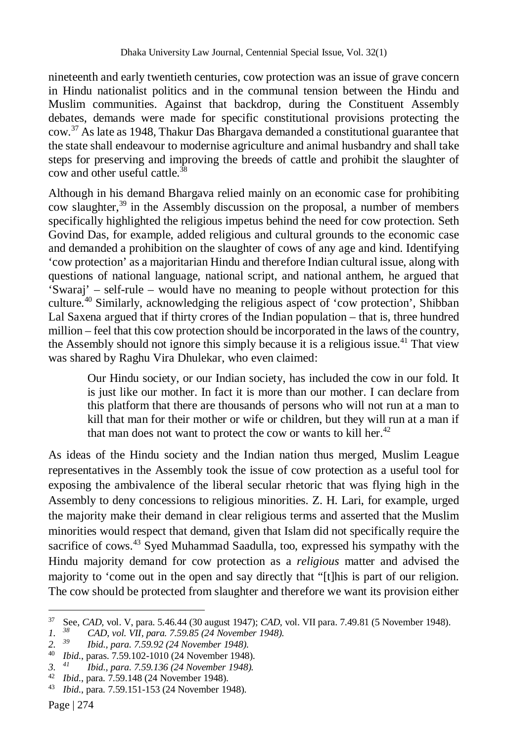nineteenth and early twentieth centuries, cow protection was an issue of grave concern in Hindu nationalist politics and in the communal tension between the Hindu and Muslim communities. Against that backdrop, during the Constituent Assembly debates, demands were made for specific constitutional provisions protecting the cow.<sup>37</sup> As late as 1948, Thakur Das Bhargava demanded a constitutional guarantee that the state shall endeavour to modernise agriculture and animal husbandry and shall take steps for preserving and improving the breeds of cattle and prohibit the slaughter of cow and other useful cattle.<sup>38</sup>

Although in his demand Bhargava relied mainly on an economic case for prohibiting cow slaughter, $39$  in the Assembly discussion on the proposal, a number of members specifically highlighted the religious impetus behind the need for cow protection. Seth Govind Das, for example, added religious and cultural grounds to the economic case and demanded a prohibition on the slaughter of cows of any age and kind. Identifying 'cow protection' as a majoritarian Hindu and therefore Indian cultural issue, along with questions of national language, national script, and national anthem, he argued that 'Swaraj' – self-rule – would have no meaning to people without protection for this culture.<sup>40</sup> Similarly, acknowledging the religious aspect of 'cow protection', Shibban Lal Saxena argued that if thirty crores of the Indian population – that is, three hundred million – feel that this cow protection should be incorporated in the laws of the country, the Assembly should not ignore this simply because it is a religious issue.<sup>41</sup> That view was shared by Raghu Vira Dhulekar, who even claimed:

Our Hindu society, or our Indian society, has included the cow in our fold. It is just like our mother. In fact it is more than our mother. I can declare from this platform that there are thousands of persons who will not run at a man to kill that man for their mother or wife or children, but they will run at a man if that man does not want to protect the cow or wants to kill her. $42$ 

As ideas of the Hindu society and the Indian nation thus merged, Muslim League representatives in the Assembly took the issue of cow protection as a useful tool for exposing the ambivalence of the liberal secular rhetoric that was flying high in the Assembly to deny concessions to religious minorities. Z. H. Lari, for example, urged the majority make their demand in clear religious terms and asserted that the Muslim minorities would respect that demand, given that Islam did not specifically require the sacrifice of cows.<sup>43</sup> Syed Muhammad Saadulla, too, expressed his sympathy with the Hindu majority demand for cow protection as a *religious* matter and advised the majority to 'come out in the open and say directly that "[t]his is part of our religion. The cow should be protected from slaughter and therefore we want its provision either

<sup>37</sup> <sup>37</sup> See, *CAD,* vol. V, para. 5.46.44 (30 august 1947); *CAD*, vol. VII para. 7.49.81 (5 November 1948).

*<sup>1.</sup> <sup>38</sup> CAD, vol. VII, para. 7.59.85 (24 November 1948).*

*<sup>2.</sup> <sup>39</sup> Ibid., para. 7.59.92 (24 November 1948).*

<sup>40</sup> *Ibid.*, paras. 7.59.102-1010 (24 November 1948).

*<sup>3.</sup> <sup>41</sup> Ibid., para. 7.59.136 (24 November 1948).*

<sup>42</sup> *Ibid.*, para. 7.59.148 (24 November 1948).<br>43 *Ibid.*, para. 7.59.151-153 (24 November 1948).

<sup>43</sup> *Ibid.*, para. 7.59.151-153 (24 November 1948).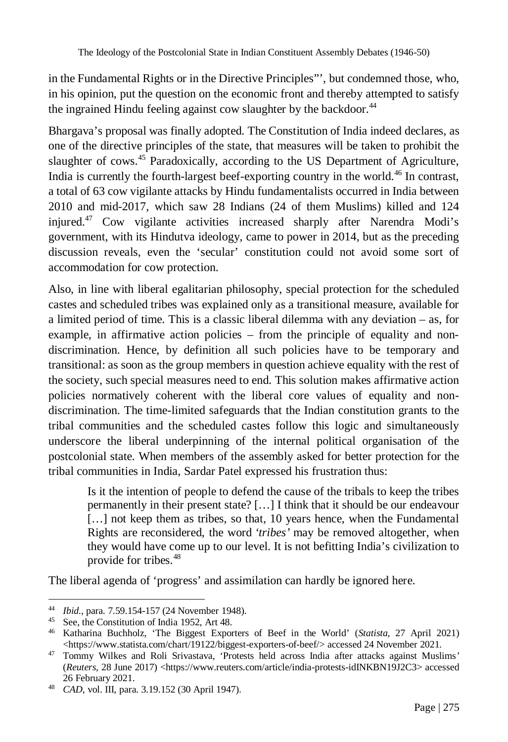in the Fundamental Rights or in the Directive Principles"', but condemned those, who, in his opinion, put the question on the economic front and thereby attempted to satisfy the ingrained Hindu feeling against cow slaughter by the backdoor.<sup>44</sup>

Bhargava's proposal was finally adopted. The Constitution of India indeed declares, as one of the directive principles of the state, that measures will be taken to prohibit the slaughter of cows.<sup>45</sup> Paradoxically, according to the US Department of Agriculture, India is currently the fourth-largest beef-exporting country in the world.<sup>46</sup> In contrast, a total of 63 cow vigilante attacks by Hindu fundamentalists occurred in India between 2010 and mid-2017, which saw 28 Indians (24 of them Muslims) killed and 124 injured.<sup>47</sup> Cow vigilante activities increased sharply after Narendra Modi's government, with its Hindutva ideology, came to power in 2014, but as the preceding discussion reveals, even the 'secular' constitution could not avoid some sort of accommodation for cow protection.

Also, in line with liberal egalitarian philosophy, special protection for the scheduled castes and scheduled tribes was explained only as a transitional measure, available for a limited period of time. This is a classic liberal dilemma with any deviation – as, for example, in affirmative action policies – from the principle of equality and nondiscrimination. Hence, by definition all such policies have to be temporary and transitional: as soon as the group members in question achieve equality with the rest of the society, such special measures need to end. This solution makes affirmative action policies normatively coherent with the liberal core values of equality and nondiscrimination. The time-limited safeguards that the Indian constitution grants to the tribal communities and the scheduled castes follow this logic and simultaneously underscore the liberal underpinning of the internal political organisation of the postcolonial state. When members of the assembly asked for better protection for the tribal communities in India, Sardar Patel expressed his frustration thus:

Is it the intention of people to defend the cause of the tribals to keep the tribes permanently in their present state? […] I think that it should be our endeavour [...] not keep them as tribes, so that, 10 years hence, when the Fundamental Rights are reconsidered, the word *'tribes'* may be removed altogether, when they would have come up to our level. It is not befitting India's civilization to provide for tribes.<sup>48</sup>

The liberal agenda of 'progress' and assimilation can hardly be ignored here.

 $\overline{a}$ <sup>44</sup> *Ibid.*, para. 7.59.154-157 (24 November 1948).

<sup>45</sup> See, the Constitution of India 1952, Art 48.

<sup>46</sup> Katharina Buchholz, 'The Biggest Exporters of Beef in the World' (*Statista*, 27 April 2021) <https://www.statista.com/chart/19122/biggest-exporters-of-beef/> accessed 24 November 2021.

<sup>47</sup> Tommy Wilkes and Roli Srivastava, 'Protests held across India after attacks against Muslims*'* (*Reuters*, 28 June 2017) <https://www.reuters.com/article/india-protests-idINKBN19J2C3> accessed 26 February 2021.

<sup>48</sup> *CAD*, vol. III, para. 3.19.152 (30 April 1947).